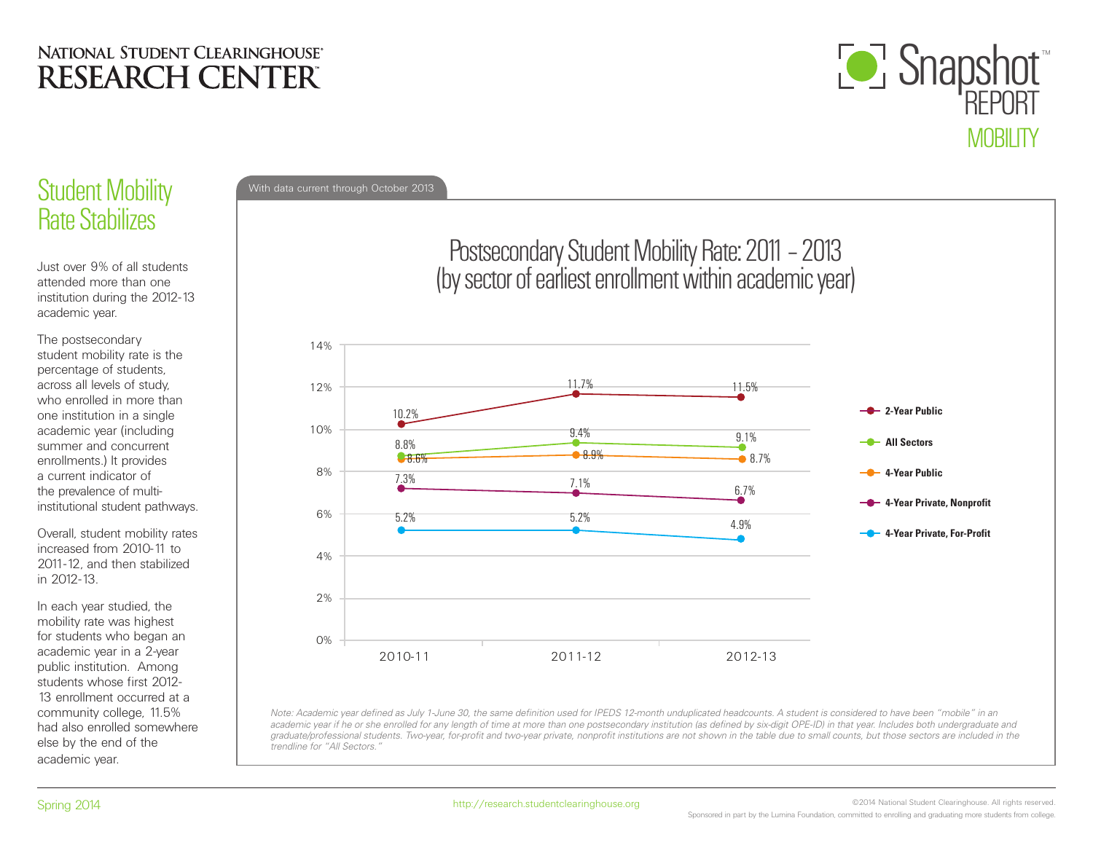

# Rate Stabilizes

Just over 9% of all students attended more than one institution during the 2012-13 academic year.

The postsecondary student mobility rate is the percentage of students, across all levels of study, who enrolled in more than one institution in a single academic year (including summer and concurrent enrollments.) It provides a current indicator of the prevalence of multiinstitutional student pathways.

Overall, student mobility rates increased from 2010-11 to 2011-12, and then stabilized in 2012-13.

In each year studied, the mobility rate was highest for students who began an academic year in a 2-year public institution. Among students whose first 2012- 13 enrollment occurred at a community college, 11.5% had also enrolled somewhere else by the end of the academic year.



*Note: Academic year defined as July 1-June 30, the same definition used for IPEDS 12-month unduplicated headcounts. A student is considered to have been "mobile" in an academic year if he or she enrolled for any length of time at more than one postsecondary institution (as defined by six-digit OPE-ID) in that year. Includes both undergraduate and*  graduate/professional students. Two-year, for-profit and two-year private, nonprofit institutions are not shown in the table due to small counts, but those sectors are included in the *trendline for "All Sectors."*

©2014 National Student Clearinghouse. All rights reserved. Sponsored in part by the Lumina Foundation, committed to enrolling and graduating more students from college.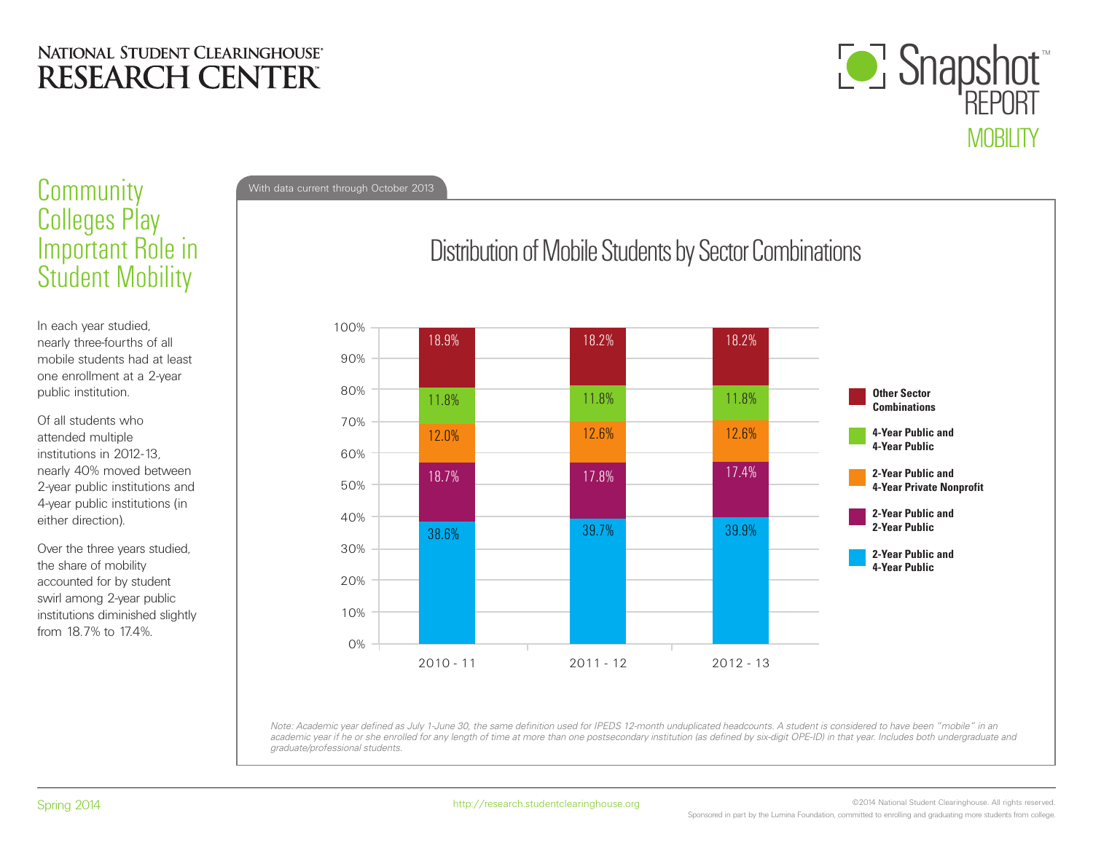

## Community With data current through October 2013 Colleges Play Important Role in Student Mobility

In each year studied, nearly three-fourths of all mobile students had at least one enrollment at a 2-year public institution.

Of all students who attended multiple institutions in 2012-13, nearly 40% moved between 2-year public institutions and 4-year public institutions (in either direction).

Over the three years studied, the share of mobility accounted for by student swirl among 2-year public institutions diminished slightly from 18.7% to 17.4%.

# Distribution of Mobile Students by Sector Combinations



*Note: Academic year defined as July 1-June 30, the same definition used for IPEDS 12-month unduplicated headcounts. A student is considered to have been "mobile" in an academic year if he or she enrolled for any length of time at more than one postsecondary institution (as defined by six-digit OPE-ID) in that year. Includes both undergraduate and graduate/professional students.*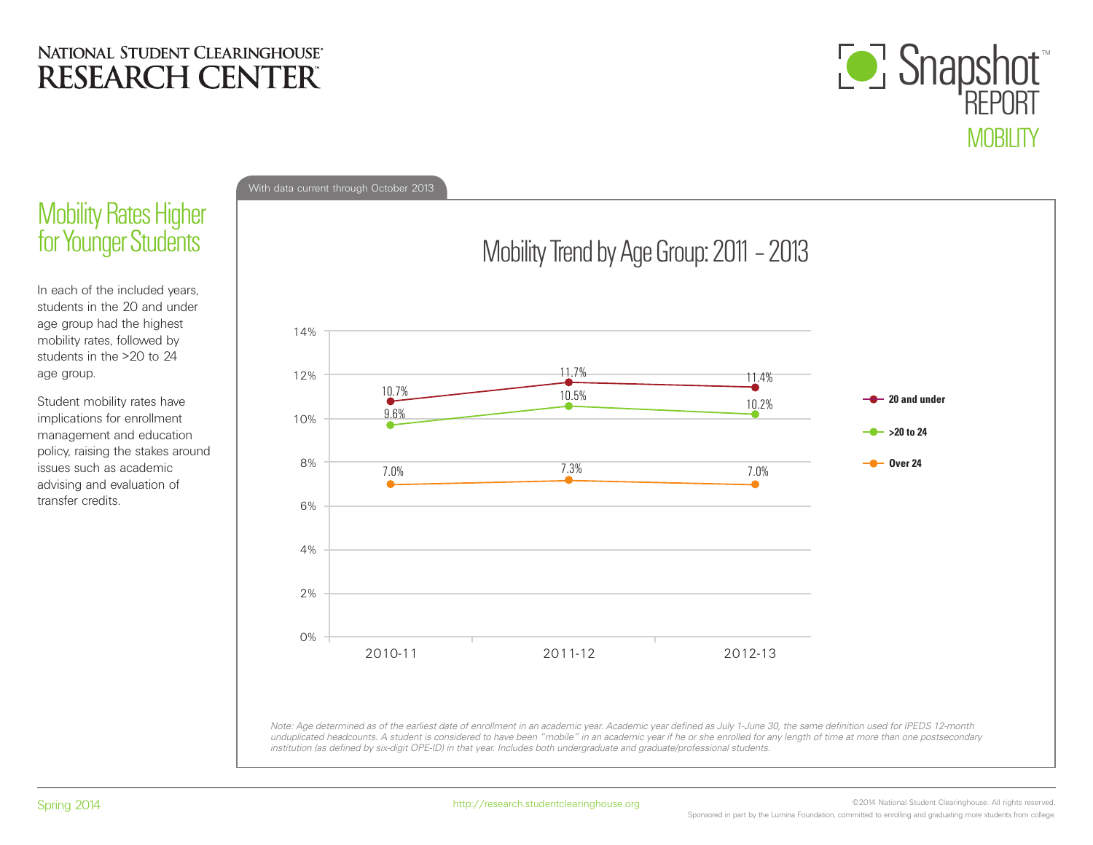

## **Mobility Rates Higher** for Younger Students

In each of the included years, students in the 20 and under age group had the highest mobility rates, followed by students in the >20 to 24 age group.

Student mobility rates have implications for enrollment management and education policy, raising the stakes around issues such as academic advising and evaluation of transfer credits.